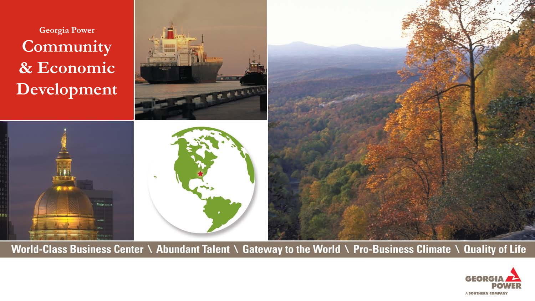**Georgia Power Community & Economic Development**





World-Class Business Center \ Abundant Talent \ Gateway to the World \ Pro-Business Climate \ Quality of Life

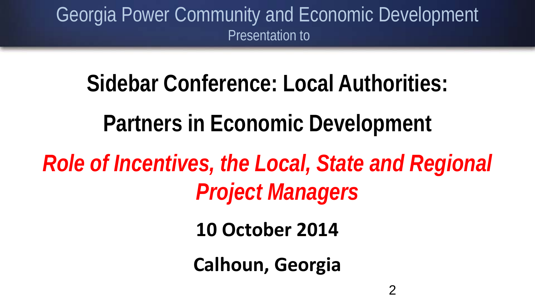### Georgia Power Community and Economic Development Presentation to

# **Sidebar Conference: Local Authorities: Partners in Economic Development** *Role of Incentives, the Local, State and Regional Project Managers*

**10 October 2014**

**Calhoun, Georgia**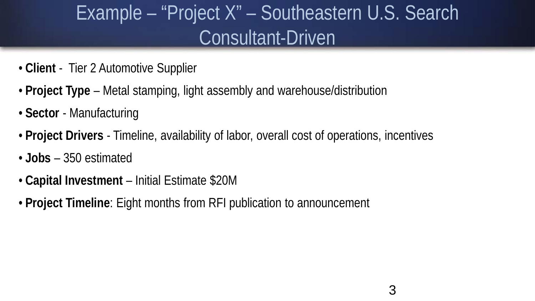### Example – "Project X" – Southeastern U.S. Search Consultant-Driven

- **Client** Tier 2 Automotive Supplier
- **Project Type**  Metal stamping, light assembly and warehouse/distribution
- **Sector** Manufacturing
- **Project Drivers**  Timeline, availability of labor, overall cost of operations, incentives
- **Jobs** 350 estimated
- **Capital Investment**  Initial Estimate \$20M
- **Project Timeline**: Eight months from RFI publication to announcement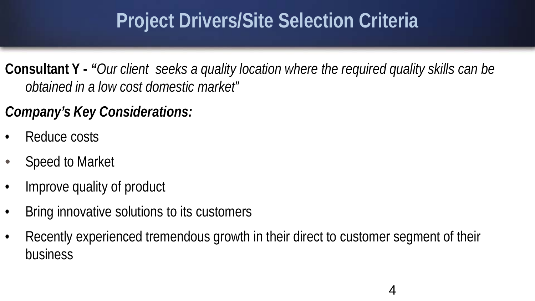### **Project Drivers/Site Selection Criteria**

**Consultant Y -** *"Our client seeks a quality location where the required quality skills can be obtained in a low cost domestic market"*

*Company's Key Considerations:*

- Reduce costs
- Speed to Market
- Improve quality of product
- Bring innovative solutions to its customers
- Recently experienced tremendous growth in their direct to customer segment of their business

4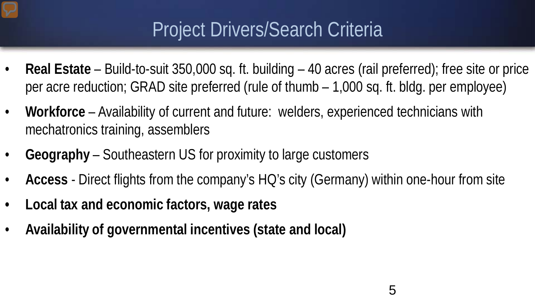### Project Drivers/Search Criteria

- **Real Estate**  Build-to-suit 350,000 sq. ft. building 40 acres (rail preferred); free site or price per acre reduction; GRAD site preferred (rule of thumb – 1,000 sq. ft. bldg. per employee)
- **Workforce** Availability of current and future: welders, experienced technicians with mechatronics training, assemblers
- **Geography** Southeastern US for proximity to large customers
- **Access** Direct flights from the company's HQ's city (Germany) within one-hour from site
- **Local tax and economic factors, wage rates**
- **Availability of governmental incentives (state and local)**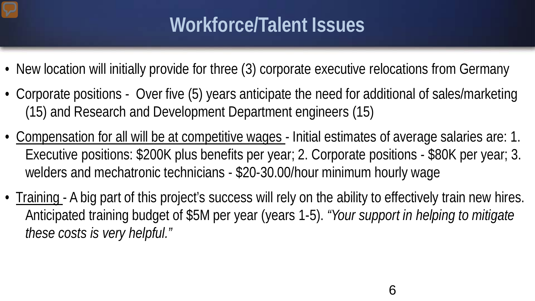### **Workforce/Talent Issues**

- New location will initially provide for three (3) corporate executive relocations from Germany
- Corporate positions Over five (5) years anticipate the need for additional of sales/marketing (15) and Research and Development Department engineers (15)
- Compensation for all will be at competitive wages Initial estimates of average salaries are: 1. Executive positions: \$200K plus benefits per year; 2. Corporate positions - \$80K per year; 3. welders and mechatronic technicians - \$20-30.00/hour minimum hourly wage
- Training A big part of this project's success will rely on the ability to effectively train new hires. Anticipated training budget of \$5M per year (years 1-5). *"Your support in helping to mitigate these costs is very helpful."*

6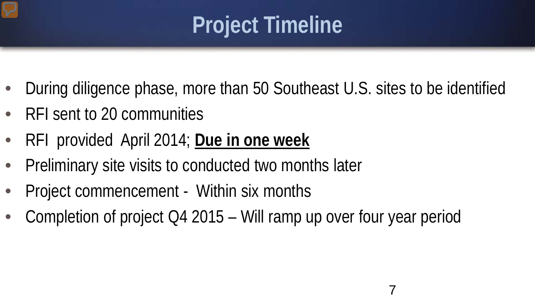# **Project Timeline**

- During diligence phase, more than 50 Southeast U.S. sites to be identified
- RFI sent to 20 communities
- RFI provided April 2014; **Due in one week**
- Preliminary site visits to conducted two months later
- Project commencement Within six months
- Completion of project Q4 2015 Will ramp up over four year period

7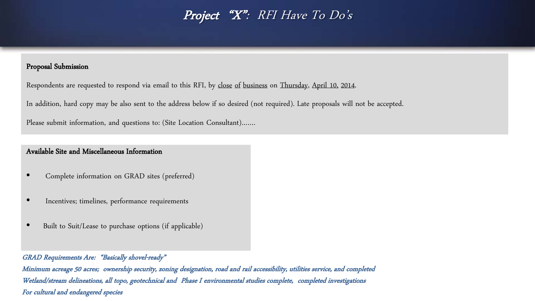### Project "X": RFI Have To Do's

### Proposal Submission

Respondents are requested to respond via email to this RFI, by close of business on Thursday, April 10, 2014.

In addition, hard copy may be also sent to the address below if so desired (not required). Late proposals will not be accepted.

Please submit information, and questions to: (Site Location Consultant)…….

### Available Site and Miscellaneous Information

- Complete information on GRAD sites (preferred)
- Incentives; timelines, performance requirements
- Built to Suit/Lease to purchase options (if applicable)

#### GRAD Requirements Are: "Basically shovel-ready"

Minimum acreage 50 acres; ownership security, zoning designation, road and rail accessibility, utilities service, and completed Wetland/stream delineations, all topo, geotechnical and Phase I environmental studies complete, completed investigations For cultural and endangered species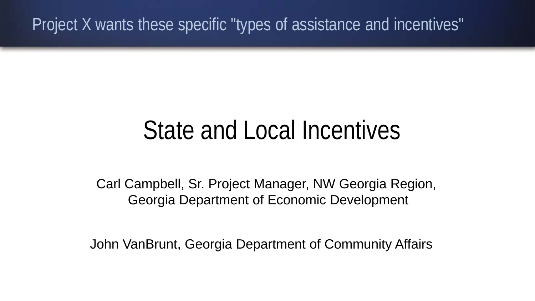Project X wants these specific "types of assistance and incentives"

# State and Local Incentives

Carl Campbell, Sr. Project Manager, NW Georgia Region, Georgia Department of Economic Development

John VanBrunt, Georgia Department of Community Affairs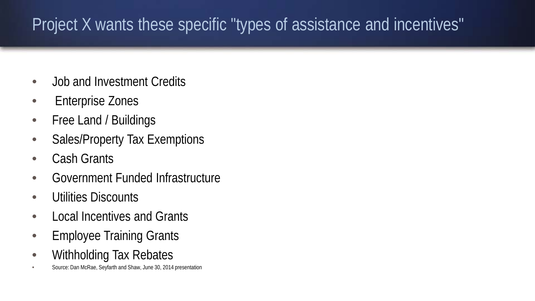### Project X wants these specific "types of assistance and incentives"

- Job and Investment Credits
- Enterprise Zones
- Free Land / Buildings
- Sales/Property Tax Exemptions
- Cash Grants
- Government Funded Infrastructure
- Utilities Discounts
- Local Incentives and Grants
- Employee Training Grants
- Withholding Tax Rebates
- Source: Dan McRae, Seyfarth and Shaw, June 30, 2014 presentation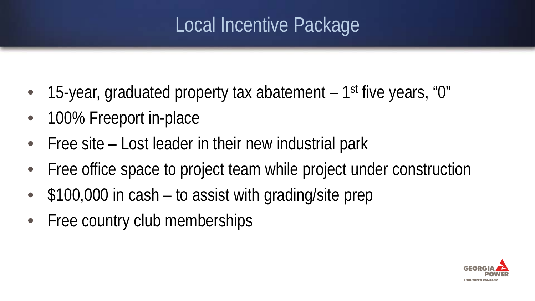## Local Incentive Package

- 15-year, graduated property tax abatement 1<sup>st</sup> five years, "0"
- 100% Freeport in-place
- Free site Lost leader in their new industrial park
- Free office space to project team while project under construction
- \$100,000 in cash to assist with grading/site prep
- Free country club memberships